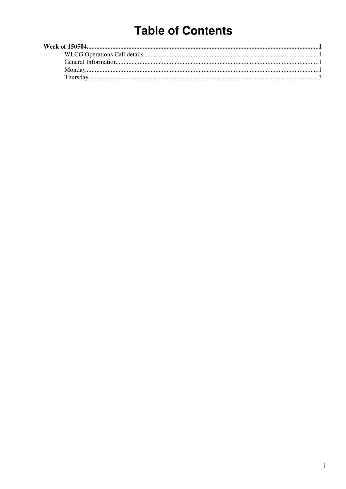# **Table of Contents**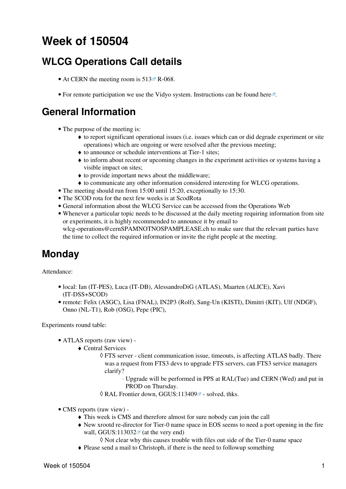# <span id="page-1-0"></span>**Week of 150504**

## <span id="page-1-1"></span>**WLCG Operations Call details**

- At CERN the meeting room is  $513 \times R 068$ .
- For remote participation we use the Vidyo system. Instructions can be found [here](https://indico.cern.ch/conferenceDisplay.py?confId=287280)  $\mathbb{F}$ .

### <span id="page-1-2"></span>**General Information**

- The purpose of the meeting is:
	- to report significant operational issues (i.e. issues which can or did degrade experiment or site ♦ operations) which are ongoing or were resolved after the previous meeting;
	- ♦ to announce or schedule interventions at Tier-1 sites;
	- to inform about recent or upcoming changes in the experiment activities or systems having a ♦ visible impact on sites;
	- ♦ to provide important news about the middleware;
	- ♦ to communicate any other information considered interesting for WLCG operations.
- The meeting should run from 15:00 until 15:20, exceptionally to 15:30.
- The SCOD rota for the next few weeks is at [ScodRota](https://twiki.cern.ch/twiki/bin/view/LCG/ScodRota)
- General information about the WLCG Service can be accessed from the [Operations Web](https://twiki.cern.ch/twiki/bin/view/LCG/WLCGOperationsWeb)
- Whenever a particular topic needs to be discussed at the daily meeting requiring information from site or experiments, it is highly recommended to announce it by email to [wlcg-operations@cernSPAMNOTNOSPAMPLEASE.ch](mailto:wlcg-operations@cernSPAMNOTNOSPAMPLEASE.ch) to make sure that the relevant parties have the time to collect the required information or invite the right people at the meeting.

### <span id="page-1-3"></span>**Monday**

Attendance:

- local: Ian (IT-PES), Luca (IT-DB), AlessandroDiG (ATLAS), Maarten (ALICE), Xavi (IT-DSS+SCOD)
- remote: Felix (ASGC), Lisa (FNAL), [IN2P3](https://twiki.cern.ch/twiki/bin/view/LCG/IN2P3) (Rolf), Sang-Un (KISTI), Dimitri (KIT), Ulf (NDGF), Onno (NL-T1), Rob (OSG), Pepe (PIC),

Experiments round table:

- ATLAS [reports](https://twiki.cern.ch/twiki/bin/view/AtlasComputing/ADCOperationsDailyReports2015) [\(raw view\)](https://twiki.cern.ch/twiki/bin/view/AtlasComputing/ADCOperationsDailyReports2015?raw=on) •
	- Central Services ♦
		- FTS server client communication issue, timeouts, is affecting ATLAS badly. There ◊ was a request from FTS3 devs to upgrade FTS servers, can FTS3 service managers clarify?
			- Upgrade will be performed in PPS at [RAL](https://twiki.cern.ch/twiki/bin/view/LCG/RAL)(Tue) and CERN (Wed) and put in ⋅ PROD on Thursday.
		- $\Diamond$  [RAL](https://twiki.cern.ch/twiki/bin/view/LCG/RAL) Frontier down, [GGUS:113409](https://ggus.eu/ws/ticket_info.php?ticket=113409) $\degree$  solved, thks.
- CMS [reports](https://twiki.cern.ch/twiki/bin/view/CMS/FacOps_WLCGdailyreports) ([raw view\)](https://twiki.cern.ch/twiki/bin/view/CMS/FacOps_WLCGdailyreports?raw=on) •
	- ♦ This week is CMS and therefore almost for sure nobody can join the call
	- New xrootd re-director for Tier-0 name space in EOS seems to need a port opening in the fire ♦ wall, GGUS: $113032$ <sup> $\alpha$ </sup> (at the very end)
		- ◊ Not clear why this causes trouble with files out side of the Tier-0 name space
	- ♦ Please send a mail to Christoph, if there is the need to followup something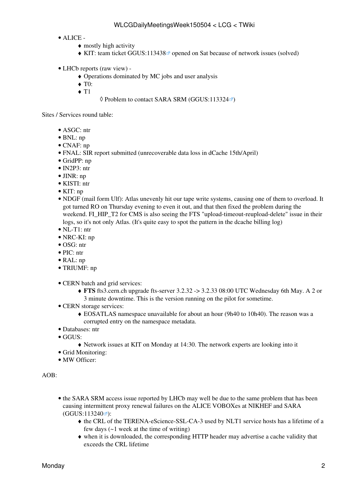#### ALICE - •

- $\bullet$  mostly high activity
- KIT: team ticket GGUS:113438<sup> $\alpha$ </sup> opened on Sat because of network issues (solved)
- LHCb [reports](https://twiki.cern.ch/twiki/bin/view/LHCb/ProductionOperationsWLCGdailyReports) [\(raw view\)](https://twiki.cern.ch/twiki/bin/view/LHCb/ProductionOperationsWLCGdailyReports?raw=on) •
	- ♦ Operations dominated by MC jobs and user analysis
	- ♦ T0:
	- $\triangleleft$  T<sub>1</sub>

#### $\Diamond$  Problem to contact SARA SRM ([GGUS:113324](https://ggus.eu/ws/ticket_info.php?ticket=113324) $\circ$ )

Sites / Services round table:

- ASGC: ntr
- BNL: np
- CNAF: np
- FNAL: [SIR report](https://twiki.cern.ch/twiki/pub/LCG/WLCGServiceIncidents/uscmsT1_SIR_042015.pdf) submitted (unrecoverable data loss in dCache 15th/April)
- GridPP: np
- IN2P3: ntr
- JINR: np
- KISTI: ntr
- KIT: np
- NDGF (mail form Ulf): Atlas unevenly hit our tape write systems, causing one of them to overload. It got turned RO on Thursday evening to even it out, and that then fixed the problem during the weekend. FI\_HIP\_T2 for CMS is also seeing the FTS "upload-timeout-reupload-delete" issue in their logs, so it's not only Atlas. (It's quite easy to spot the pattern in the dcache billing log)
- NL-T1: ntr
- NRC-KI: np
- OSG: ntr
- PIC: ntr
- RAL: np
- TRIUMF: np
- CERN batch and grid services:
	- **FTS** fts3.cern.ch upgrade fts-server 3.2.32 -> 3.2.33 08:00 UTC Wednesday 6th May. A 2 or ♦ 3 minute downtime. This is the version running on the pilot for sometime.
- CERN storage services:
	- EOSATLAS namespace unavailable for about an hour (9h40 to 10h40). The reason was a ♦ corrupted entry on the namespace metadata.
- Databases: ntr
- GGUS:
	- ♦ Network issues at KIT on Monday at 14:30. The network experts are looking into it
- Grid Monitoring:
- MW Officer:

#### AOB:

- the SARA SRM access issue reported by LHCb may well be due to the same problem that has been causing intermittent proxy renewal failures on the ALICE VOBOXes at NIKHEF and SARA  $(GGUS:113240 \circ r)$  $(GGUS:113240 \circ r)$  $(GGUS:113240 \circ r)$ :
	- the CRL of the TERENA-eScience-SSL-CA-3 used by NLT1 service hosts has a lifetime of a ♦ few days (~1 week at the time of writing)
	- when it is downloaded, the corresponding HTTP header may advertise a cache validity that ♦ exceeds the CRL lifetime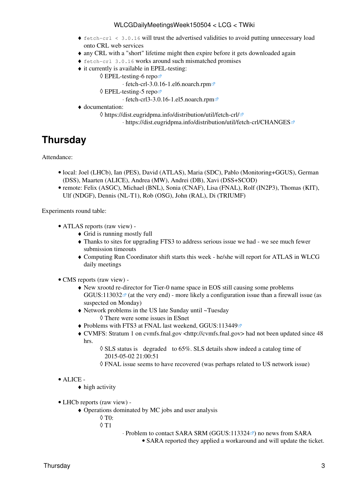#### WLCGDailyMeetingsWeek150504 < LCG < TWiki

- fetch-crl < 3.0.16 will trust the advertised validities to avoid putting unnecessary load ♦ onto CRL web services
- ♦ any CRL with a "short" lifetime might then expire before it gets downloaded again
- ♦ fetch-crl 3.0.16 works around such mismatched promises
- it currently is available in EPEL-testing: ♦
	- [EPEL-testing-6 repo](https://dl.fedoraproject.org/pub/epel/testing/6/) ◊

⋅ [fetch-crl-3.0.16-1.el6.noarch.rpm](https://dl.fedoraproject.org/pub/epel/testing/6/x86_64/fetch-crl-3.0.16-1.el6.noarch.rpm)

[EPEL-testing-5 repo](https://dl.fedoraproject.org/pub/epel/testing/5/) ◊

⋅ [fetch-crl3-3.0.16-1.el5.noarch.rpm](https://dl.fedoraproject.org/pub/epel/testing/5/x86_64/fetch-crl3-3.0.16-1.el5.noarch.rpm)

- documentation: ♦
	- <https://dist.eugridpma.info/distribution/util/fetch-crl/> ◊
		- ⋅ <https://dist.eugridpma.info/distribution/util/fetch-crl/CHANGES>

## <span id="page-3-0"></span>**Thursday**

Attendance:

- · local: Joel (LHCb), Ian (PES), David (ATLAS), Maria (SDC), Pablo (Monitoring+GGUS), German (DSS), Maarten (ALICE), Andrea (MW), Andrei (DB), Xavi (DSS+SCOD)
- remote: Felix (ASGC), Michael (BNL), Sonia (CNAF), Lisa (FNAL), Rolf (IN2P3), Thomas (KIT), Ulf (NDGF), Dennis (NL-T1), Rob (OSG), John (RAL), Di (TRIUMF)

Experiments round table:

- ATLAS [reports](https://twiki.cern.ch/twiki/bin/view/AtlasComputing/ADCOperationsDailyReports2015) [\(raw view\)](https://twiki.cern.ch/twiki/bin/view/AtlasComputing/ADCOperationsDailyReports2015?raw=on) •
	- ♦ Grid is running mostly full
	- Thanks to sites for upgrading FTS3 to address serious issue we had we see much fewer ♦ submission timeouts
	- Computing Run Coordinator shift starts this week he/she will report for ATLAS in WLCG ♦ daily meetings
- CMS [reports](https://twiki.cern.ch/twiki/bin/view/CMS/FacOps_WLCGdailyreports) ([raw view\)](https://twiki.cern.ch/twiki/bin/view/CMS/FacOps_WLCGdailyreports?raw=on) •
	- New xrootd re-director for Tier-0 name space in EOS still causing some problems ♦ [GGUS:113032](https://ggus.eu/ws/ticket_info.php?ticket=113032) $\mathbb{F}$  (at the very end) - more likely a configuration issue than a firewall issue (as suspected on Monday)
	- Network problems in the US late Sunday until ~Tuesday ♦ ◊ There were some issues in ESnet
	- ◆ Problems with FTS3 at FNAL last weekend, [GGUS:113449](https://ggus.eu/ws/ticket_info.php?ticket=113449)
	- CVMFS: Stratum 1 on cvmfs.fnal.gov <http://cvmfs.fnal.gov> had not been updated since 48 hrs.
		- ◊ SLS status is degraded to 65%. SLS details show indeed a catalog time of 2015-05-02 21:00:51
		- ◊ FNAL issue seems to have recovered (was perhaps related to US network issue)

#### ALICE - •

- $\triangle$  high activity
- LHCb [reports](https://twiki.cern.ch/twiki/bin/view/LHCb/ProductionOperationsWLCGdailyReports) [\(raw view\)](https://twiki.cern.ch/twiki/bin/view/LHCb/ProductionOperationsWLCGdailyReports?raw=on) •
	- Operations dominated by MC jobs and user analysis ♦
		- $\Diamond$  T<sub>0</sub>.
		- T1 ◊
- · Problem to contact SARA SRM ([GGUS:113324](https://ggus.eu/ws/ticket_info.php?ticket=113324) <sup>®</sup>) no news from SARA
	- SARA reported they applied a workaround and will update the ticket.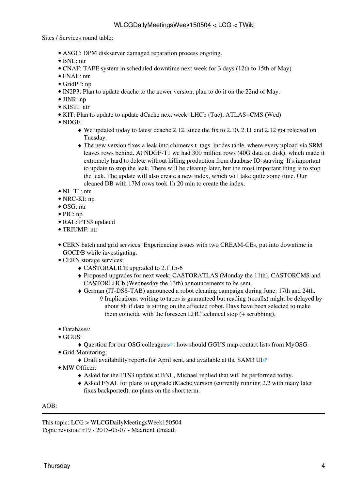Sites / Services round table:

- ASGC: DPM diskserver damaged reparation process ongoing.
- BNL: ntr
- CNAF: TAPE system in scheduled downtime next week for 3 days (12th to 15th of May)
- FNAL: ntr
- GridPP: np
- IN2P3: Plan to update dcache to the newer version, plan to do it on the 22nd of May.
- JINR: np
- KISTI: ntr
- KIT: Plan to update to update dCache next week: LHCb (Tue), ATLAS+CMS (Wed)
- NDGF:
	- We updated today to latest dcache 2.12, since the fix to 2.10, 2.11 and 2.12 got released on ♦ Tuesday.
	- The new version fixes a leak into chimeras t\_tags\_inodes table, where every upload via SRM ♦ leaves rows behind. At NDGF-T1 we had 300 million rows (40G data on disk), which made it extremely hard to delete without killing production from database IO-starving. It's important to update to stop the leak. There will be cleanup later, but the most important thing is to stop the leak. The update will also create a new index, which will take quite some time. Our cleaned DB with 17M rows took 1h 20 min to create the index.
- NL-T1: ntr
- NRC-KI: np
- OSG: ntr
- PIC: np
- RAL: FTS3 updated
- TRIUMF: ntr
- CERN batch and grid services: Experiencing issues with two [CREAM](https://twiki.cern.ch/twiki/bin/view/LCG/CREAM)-CEs, put into downtime in GOCDB while investigating.
- CERN storage services:
	- ♦ CASTORALICE upgraded to 2.1.15-6
	- Proposed upgrades for next week: CASTORATLAS (Monday the 11th), CASTORCMS and ♦ CASTORLHCb (Wednesday the 13th) announcements to be sent.
	- German (IT-DSS-TAB) announced a robot cleaning campaign during June: 17th and 24th. ♦ ◊ Implications: writing to tapes is guaranteed but reading (recalls) might be delayed by about 8h if data is sitting on the affected robot. Days have been selected to make them coincide with the foreseen LHC technical stop (+ scrubbing).
- Databases:
- GGUS:
	- $\triangleleft$  [Question for our OSG colleagues](https://its.cern.ch/jira/browse/GGUS-1391)  $\mathcal{P}$ : how should GGUS map contact lists from MyOSG.
- Grid Monitoring:
	- $\triangle$  Draft availability reports for April sent, and available at the [SAM3 UI](http://wlcg-sam.cern.ch/reports/2015/201504/wlcg) $\Phi$
- MW Officer:
	- ♦ Asked for the FTS3 update at BNL, Michael replied that will be performed today.
	- Asked FNAL for plans to upgrade dCache version (currently running 2.2 with many later ♦ fixes backported): no plans on the short term.

#### AOB:

This topic: LCG > WLCGDailyMeetingsWeek150504 Topic revision: r19 - 2015-05-07 - MaartenLitmaath